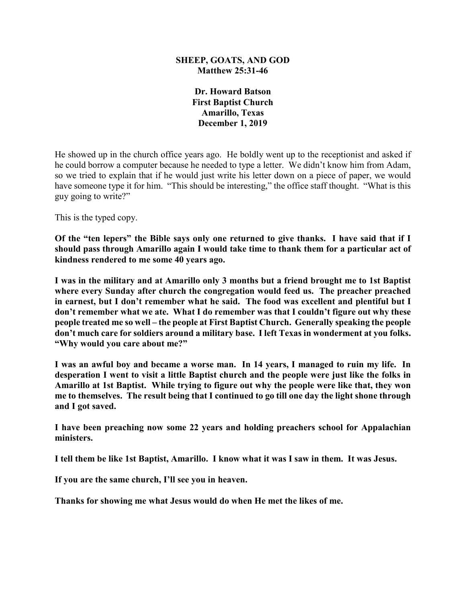#### **SHEEP, GOATS, AND GOD Matthew 25:31-46**

**Dr. Howard Batson First Baptist Church Amarillo, Texas December 1, 2019**

He showed up in the church office years ago. He boldly went up to the receptionist and asked if he could borrow a computer because he needed to type a letter. We didn't know him from Adam, so we tried to explain that if he would just write his letter down on a piece of paper, we would have someone type it for him. "This should be interesting," the office staff thought. "What is this guy going to write?"

This is the typed copy.

**Of the "ten lepers" the Bible says only one returned to give thanks. I have said that if I should pass through Amarillo again I would take time to thank them for a particular act of kindness rendered to me some 40 years ago.**

**I was in the military and at Amarillo only 3 months but a friend brought me to 1st Baptist where every Sunday after church the congregation would feed us. The preacher preached in earnest, but I don't remember what he said. The food was excellent and plentiful but I don't remember what we ate. What I do remember was that I couldn't figure out why these people treated me so well – the people at First Baptist Church. Generally speaking the people don't much care for soldiers around a military base. I left Texas in wonderment at you folks. "Why would you care about me?"**

**I was an awful boy and became a worse man. In 14 years, I managed to ruin my life. In desperation I went to visit a little Baptist church and the people were just like the folks in Amarillo at 1st Baptist. While trying to figure out why the people were like that, they won me to themselves. The result being that I continued to go till one day the light shone through and I got saved.**

**I have been preaching now some 22 years and holding preachers school for Appalachian ministers.**

**I tell them be like 1st Baptist, Amarillo. I know what it was I saw in them. It was Jesus.**

**If you are the same church, I'll see you in heaven.**

**Thanks for showing me what Jesus would do when He met the likes of me.**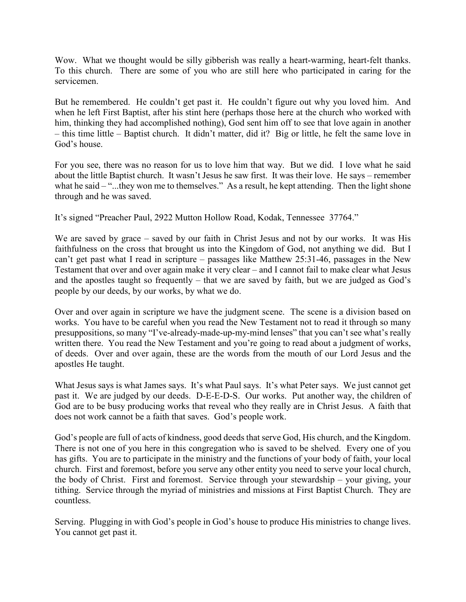Wow. What we thought would be silly gibberish was really a heart-warming, heart-felt thanks. To this church. There are some of you who are still here who participated in caring for the servicemen.

But he remembered. He couldn't get past it. He couldn't figure out why you loved him. And when he left First Baptist, after his stint here (perhaps those here at the church who worked with him, thinking they had accomplished nothing), God sent him off to see that love again in another – this time little – Baptist church. It didn't matter, did it? Big or little, he felt the same love in God's house.

For you see, there was no reason for us to love him that way. But we did. I love what he said about the little Baptist church. It wasn't Jesus he saw first. It was their love. He says – remember what he said – "...they won me to themselves." As a result, he kept attending. Then the light shone through and he was saved.

It's signed "Preacher Paul, 2922 Mutton Hollow Road, Kodak, Tennessee 37764."

We are saved by grace – saved by our faith in Christ Jesus and not by our works. It was His faithfulness on the cross that brought us into the Kingdom of God, not anything we did. But I can't get past what I read in scripture – passages like Matthew 25:31-46, passages in the New Testament that over and over again make it very clear – and I cannot fail to make clear what Jesus and the apostles taught so frequently – that we are saved by faith, but we are judged as God's people by our deeds, by our works, by what we do.

Over and over again in scripture we have the judgment scene. The scene is a division based on works. You have to be careful when you read the New Testament not to read it through so many presuppositions, so many "I've-already-made-up-my-mind lenses" that you can't see what's really written there. You read the New Testament and you're going to read about a judgment of works, of deeds. Over and over again, these are the words from the mouth of our Lord Jesus and the apostles He taught.

What Jesus says is what James says. It's what Paul says. It's what Peter says. We just cannot get past it. We are judged by our deeds. D-E-E-D-S. Our works. Put another way, the children of God are to be busy producing works that reveal who they really are in Christ Jesus. A faith that does not work cannot be a faith that saves. God's people work.

God's people are full of acts of kindness, good deeds that serve God, His church, and the Kingdom. There is not one of you here in this congregation who is saved to be shelved. Every one of you has gifts. You are to participate in the ministry and the functions of your body of faith, your local church. First and foremost, before you serve any other entity you need to serve your local church, the body of Christ. First and foremost. Service through your stewardship – your giving, your tithing. Service through the myriad of ministries and missions at First Baptist Church. They are countless.

Serving. Plugging in with God's people in God's house to produce His ministries to change lives. You cannot get past it.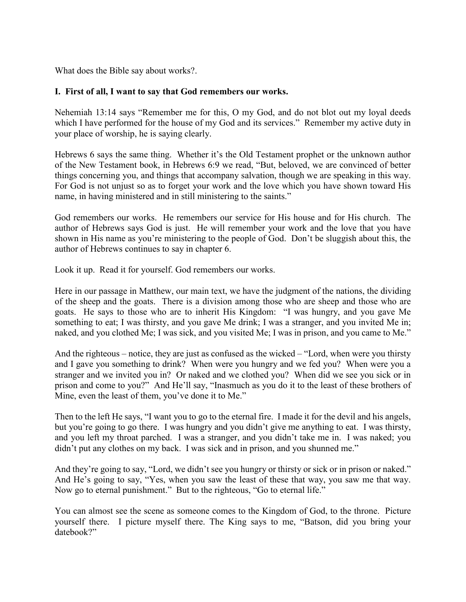What does the Bible say about works?.

### **I. First of all, I want to say that God remembers our works.**

Nehemiah 13:14 says "Remember me for this, O my God, and do not blot out my loyal deeds which I have performed for the house of my God and its services." Remember my active duty in your place of worship, he is saying clearly.

Hebrews 6 says the same thing. Whether it's the Old Testament prophet or the unknown author of the New Testament book, in Hebrews 6:9 we read, "But, beloved, we are convinced of better things concerning you, and things that accompany salvation, though we are speaking in this way. For God is not unjust so as to forget your work and the love which you have shown toward His name, in having ministered and in still ministering to the saints."

God remembers our works. He remembers our service for His house and for His church. The author of Hebrews says God is just. He will remember your work and the love that you have shown in His name as you're ministering to the people of God. Don't be sluggish about this, the author of Hebrews continues to say in chapter 6.

Look it up. Read it for yourself. God remembers our works.

Here in our passage in Matthew, our main text, we have the judgment of the nations, the dividing of the sheep and the goats. There is a division among those who are sheep and those who are goats. He says to those who are to inherit His Kingdom: "I was hungry, and you gave Me something to eat; I was thirsty, and you gave Me drink; I was a stranger, and you invited Me in; naked, and you clothed Me; I was sick, and you visited Me; I was in prison, and you came to Me."

And the righteous – notice, they are just as confused as the wicked – "Lord, when were you thirsty and I gave you something to drink? When were you hungry and we fed you? When were you a stranger and we invited you in? Or naked and we clothed you? When did we see you sick or in prison and come to you?" And He'll say, "Inasmuch as you do it to the least of these brothers of Mine, even the least of them, you've done it to Me."

Then to the left He says, "I want you to go to the eternal fire. I made it for the devil and his angels, but you're going to go there. I was hungry and you didn't give me anything to eat. I was thirsty, and you left my throat parched. I was a stranger, and you didn't take me in. I was naked; you didn't put any clothes on my back. I was sick and in prison, and you shunned me."

And they're going to say, "Lord, we didn't see you hungry or thirsty or sick or in prison or naked." And He's going to say, "Yes, when you saw the least of these that way, you saw me that way. Now go to eternal punishment." But to the righteous, "Go to eternal life."

You can almost see the scene as someone comes to the Kingdom of God, to the throne. Picture yourself there. I picture myself there. The King says to me, "Batson, did you bring your datebook?"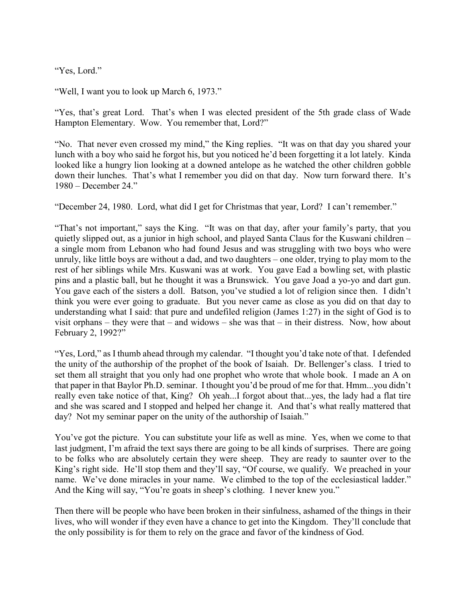"Yes, Lord."

"Well, I want you to look up March 6, 1973."

"Yes, that's great Lord. That's when I was elected president of the 5th grade class of Wade Hampton Elementary. Wow. You remember that, Lord?"

"No. That never even crossed my mind," the King replies. "It was on that day you shared your lunch with a boy who said he forgot his, but you noticed he'd been forgetting it a lot lately. Kinda looked like a hungry lion looking at a downed antelope as he watched the other children gobble down their lunches. That's what I remember you did on that day. Now turn forward there. It's 1980 – December 24."

"December 24, 1980. Lord, what did I get for Christmas that year, Lord? I can't remember."

"That's not important," says the King. "It was on that day, after your family's party, that you quietly slipped out, as a junior in high school, and played Santa Claus for the Kuswani children – a single mom from Lebanon who had found Jesus and was struggling with two boys who were unruly, like little boys are without a dad, and two daughters – one older, trying to play mom to the rest of her siblings while Mrs. Kuswani was at work. You gave Ead a bowling set, with plastic pins and a plastic ball, but he thought it was a Brunswick. You gave Joad a yo-yo and dart gun. You gave each of the sisters a doll. Batson, you've studied a lot of religion since then. I didn't think you were ever going to graduate. But you never came as close as you did on that day to understanding what I said: that pure and undefiled religion (James 1:27) in the sight of God is to visit orphans – they were that – and widows – she was that – in their distress. Now, how about February 2, 1992?"

"Yes, Lord," as I thumb ahead through my calendar. "I thought you'd take note of that. I defended the unity of the authorship of the prophet of the book of Isaiah. Dr. Bellenger's class. I tried to set them all straight that you only had one prophet who wrote that whole book. I made an A on that paper in that Baylor Ph.D. seminar. I thought you'd be proud of me for that. Hmm...you didn't really even take notice of that, King? Oh yeah...I forgot about that...yes, the lady had a flat tire and she was scared and I stopped and helped her change it. And that's what really mattered that day? Not my seminar paper on the unity of the authorship of Isaiah."

You've got the picture. You can substitute your life as well as mine. Yes, when we come to that last judgment, I'm afraid the text says there are going to be all kinds of surprises. There are going to be folks who are absolutely certain they were sheep. They are ready to saunter over to the King's right side. He'll stop them and they'll say, "Of course, we qualify. We preached in your name. We've done miracles in your name. We climbed to the top of the ecclesiastical ladder." And the King will say, "You're goats in sheep's clothing. I never knew you."

Then there will be people who have been broken in their sinfulness, ashamed of the things in their lives, who will wonder if they even have a chance to get into the Kingdom. They'll conclude that the only possibility is for them to rely on the grace and favor of the kindness of God.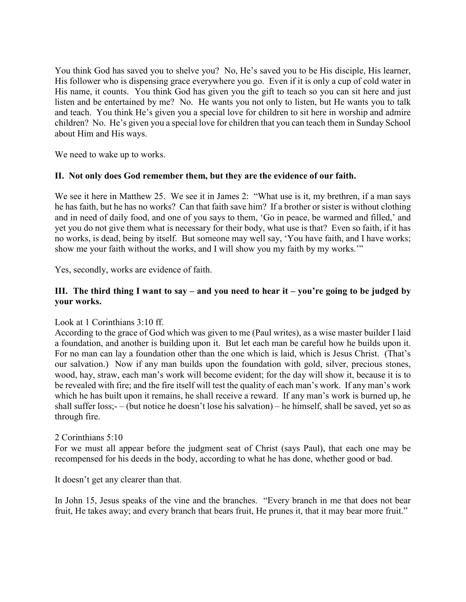You think God has saved you to shelve you? No, He's saved you to be His disciple, His learner, His follower who is dispensing grace everywhere you go. Even if it is only a cup of cold water in His name, it counts. You think God has given you the gift to teach so you can sit here and just listen and be entertained by me? No. He wants you not only to listen, but He wants you to talk and teach. You think He's given you a special love for children to sit here in worship and admire children? No. He's given you a special love for children that you can teach them in Sunday School about Him and His ways.

We need to wake up to works.

## **II. Not only does God remember them, but they are the evidence of our faith.**

We see it here in Matthew 25. We see it in James 2: "What use is it, my brethren, if a man says he has faith, but he has no works? Can that faith save him? If a brother or sister is without clothing and in need of daily food, and one of you says to them, 'Go in peace, be warmed and filled,' and yet you do not give them what is necessary for their body, what use is that? Even so faith, if it has no works, is dead, being by itself. But someone may well say, 'You have faith, and I have works; show me your faith without the works, and I will show you my faith by my works.'"

Yes, secondly, works are evidence of faith.

## **III. The third thing I want to say – and you need to hear it – you're going to be judged by your works.**

#### Look at 1 Corinthians 3:10 ff.

According to the grace of God which was given to me (Paul writes), as a wise master builder I laid a foundation, and another is building upon it. But let each man be careful how he builds upon it. For no man can lay a foundation other than the one which is laid, which is Jesus Christ. (That's our salvation.) Now if any man builds upon the foundation with gold, silver, precious stones, wood, hay, straw, each man's work will become evident; for the day will show it, because it is to be revealed with fire; and the fire itself will test the quality of each man's work. If any man's work which he has built upon it remains, he shall receive a reward. If any man's work is burned up, he shall suffer loss;- – (but notice he doesn't lose his salvation) – he himself, shall be saved, yet so as through fire.

#### 2 Corinthians 5:10

For we must all appear before the judgment seat of Christ (says Paul), that each one may be recompensed for his deeds in the body, according to what he has done, whether good or bad.

It doesn't get any clearer than that.

In John 15, Jesus speaks of the vine and the branches. "Every branch in me that does not bear fruit, He takes away; and every branch that bears fruit, He prunes it, that it may bear more fruit."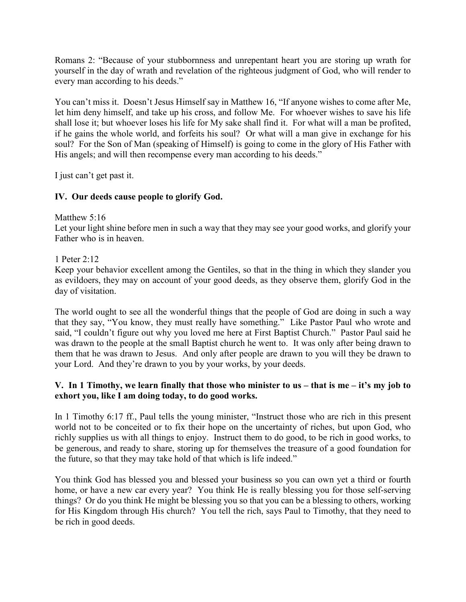Romans 2: "Because of your stubbornness and unrepentant heart you are storing up wrath for yourself in the day of wrath and revelation of the righteous judgment of God, who will render to every man according to his deeds."

You can't miss it. Doesn't Jesus Himself say in Matthew 16, "If anyone wishes to come after Me, let him deny himself, and take up his cross, and follow Me. For whoever wishes to save his life shall lose it; but whoever loses his life for My sake shall find it. For what will a man be profited, if he gains the whole world, and forfeits his soul? Or what will a man give in exchange for his soul? For the Son of Man (speaking of Himself) is going to come in the glory of His Father with His angels; and will then recompense every man according to his deeds."

I just can't get past it.

# **IV. Our deeds cause people to glorify God.**

Matthew 5:16

Let your light shine before men in such a way that they may see your good works, and glorify your Father who is in heaven.

1 Peter 2:12

Keep your behavior excellent among the Gentiles, so that in the thing in which they slander you as evildoers, they may on account of your good deeds, as they observe them, glorify God in the day of visitation.

The world ought to see all the wonderful things that the people of God are doing in such a way that they say, "You know, they must really have something." Like Pastor Paul who wrote and said, "I couldn't figure out why you loved me here at First Baptist Church." Pastor Paul said he was drawn to the people at the small Baptist church he went to. It was only after being drawn to them that he was drawn to Jesus. And only after people are drawn to you will they be drawn to your Lord. And they're drawn to you by your works, by your deeds.

# **V. In 1 Timothy, we learn finally that those who minister to us – that is me – it's my job to exhort you, like I am doing today, to do good works.**

In 1 Timothy 6:17 ff., Paul tells the young minister, "Instruct those who are rich in this present world not to be conceited or to fix their hope on the uncertainty of riches, but upon God, who richly supplies us with all things to enjoy. Instruct them to do good, to be rich in good works, to be generous, and ready to share, storing up for themselves the treasure of a good foundation for the future, so that they may take hold of that which is life indeed."

You think God has blessed you and blessed your business so you can own yet a third or fourth home, or have a new car every year? You think He is really blessing you for those self-serving things? Or do you think He might be blessing you so that you can be a blessing to others, working for His Kingdom through His church? You tell the rich, says Paul to Timothy, that they need to be rich in good deeds.